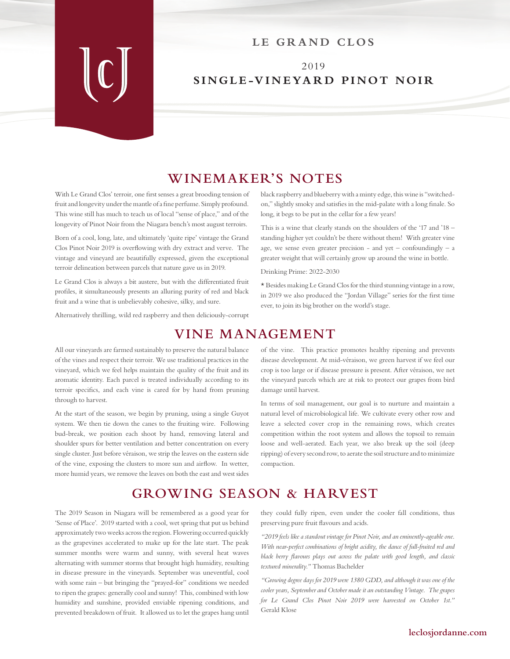## LE GRAND CLOS

## 2019 **SINGLE-VINEYARD PINOT NOIR**

## **WINEMAKER'S NOTES**

With Le Grand Clos' terroir, one first senses a great brooding tension of fruit and longevity under the mantle of a fine perfume. Simply profound. This wine still has much to teach us of local "sense of place," and of the longevity of Pinot Noir from the Niagara bench's most august terroirs.

Born of a cool, long, late, and ultimately 'quite ripe' vintage the Grand Clos Pinot Noir 2019 is overflowing with dry extract and verve. The vintage and vineyard are beautifully expressed, given the exceptional terroir delineation between parcels that nature gave us in 2019.

Le Grand Clos is always a bit austere, but with the differentiated fruit profiles, it simultaneously presents an alluring purity of red and black fruit and a wine that is unbelievably cohesive, silky, and sure.

Alternatively thrilling, wild red raspberry and then deliciously-corrupt

black raspberry and blueberry with a minty edge, this wine is "switchedon," slightly smoky and satisfies in the mid-palate with a long finale. So long, it begs to be put in the cellar for a few years!

This is a wine that clearly stands on the shoulders of the '17 and '18 – standing higher yet couldn't be there without them! With greater vine age, we sense even greater precision - and yet – confoundingly – a greater weight that will certainly grow up around the wine in bottle.

Drinking Prime: 2022-2030

\* Besides making Le Grand Clos for the third stunning vintage in a row, in 2019 we also produced the "Jordan Village" series for the first time ever, to join its big brother on the world's stage.

# **VINE MANAGEMENT**

All our vineyards are farmed sustainably to preserve the natural balance of the vines and respect their terroir. We use traditional practices in the vineyard, which we feel helps maintain the quality of the fruit and its aromatic identity. Each parcel is treated individually according to its terroir specifics, and each vine is cared for by hand from pruning through to harvest.

At the start of the season, we begin by pruning, using a single Guyot system. We then tie down the canes to the fruiting wire. Following bud-break, we position each shoot by hand, removing lateral and shoulder spurs for better ventilation and better concentration on every single cluster. Just before véraison, we strip the leaves on the eastern side of the vine, exposing the clusters to more sun and airflow. In wetter, more humid years, we remove the leaves on both the east and west sides

of the vine. This practice promotes healthy ripening and prevents disease development. At mid-véraison, we green harvest if we feel our crop is too large or if disease pressure is present. After véraison, we net the vineyard parcels which are at risk to protect our grapes from bird damage until harvest.

In terms of soil management, our goal is to nurture and maintain a natural level of microbiological life. We cultivate every other row and leave a selected cover crop in the remaining rows, which creates competition within the root system and allows the topsoil to remain loose and well-aerated. Each year, we also break up the soil (deep ripping) of every second row, to aerate the soil structure and to minimize compaction.

# **GROWING SEASON & HARVEST**

The 2019 Season in Niagara will be remembered as a good year for 'Sense of Place'. 2019 started with a cool, wet spring that put us behind approximately two weeks across the region. Flowering occurred quickly as the grapevines accelerated to make up for the late start. The peak summer months were warm and sunny, with several heat waves alternating with summer storms that brought high humidity, resulting in disease pressure in the vineyards. September was uneventful, cool with some rain – but bringing the "prayed-for" conditions we needed to ripen the grapes: generally cool and sunny! This, combined with low humidity and sunshine, provided enviable ripening conditions, and prevented breakdown of fruit. It allowed us to let the grapes hang until

they could fully ripen, even under the cooler fall conditions, thus preserving pure fruit flavours and acids.

*"2019 feels like a standout vintage for Pinot Noir, and an eminently-ageable one. With near-perfect combinations of bright acidity, the dance of full-fruited red and black berry flavours plays out across the palate with good length, and classic textured minerality."* Thomas Bachelder

*"Growing degree days for 2019 were 1380 GDD, and although it was one of the cooler years, September and October made it an outstanding Vintage. The grapes for Le Grand Clos Pinot Noir 2019 were harvested on October 1st."* Gerald Klose